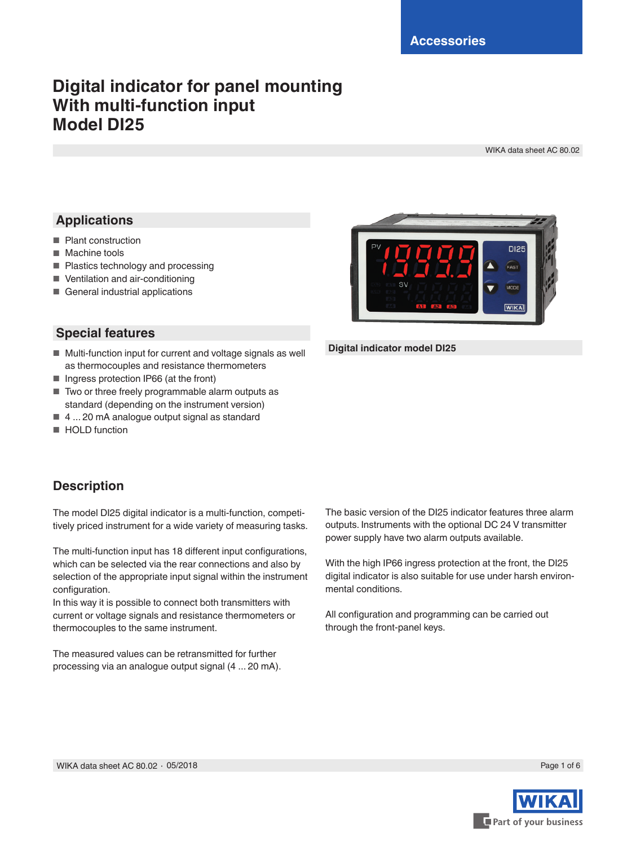## **Digital indicator for panel mounting With multi-function input Model DI25**

WIKA data sheet AC 80.02

### **Applications**

- Plant construction
- Machine tools
- Plastics technology and processing
- Ventilation and air-conditioning
- General industrial applications

### **Special features**

- Multi-function input for current and voltage signals as well as thermocouples and resistance thermometers
- Ingress protection IP66 (at the front)
- Two or three freely programmable alarm outputs as standard (depending on the instrument version)
- 4 ... 20 mA analogue output signal as standard
- HOLD function



#### **Digital indicator model DI25**

### **Description**

The model DI25 digital indicator is a multi-function, competitively priced instrument for a wide variety of measuring tasks.

The multi-function input has 18 different input configurations, which can be selected via the rear connections and also by selection of the appropriate input signal within the instrument configuration.

In this way it is possible to connect both transmitters with current or voltage signals and resistance thermometers or thermocouples to the same instrument.

The measured values can be retransmitted for further processing via an analogue output signal (4 ... 20 mA). The basic version of the DI25 indicator features three alarm outputs. Instruments with the optional DC 24 V transmitter power supply have two alarm outputs available.

With the high IP66 ingress protection at the front, the DI25 digital indicator is also suitable for use under harsh environmental conditions.

All configuration and programming can be carried out through the front-panel keys.

WIKA data sheet AC 80.02 ∙ 05/2018

Page 1 of 6

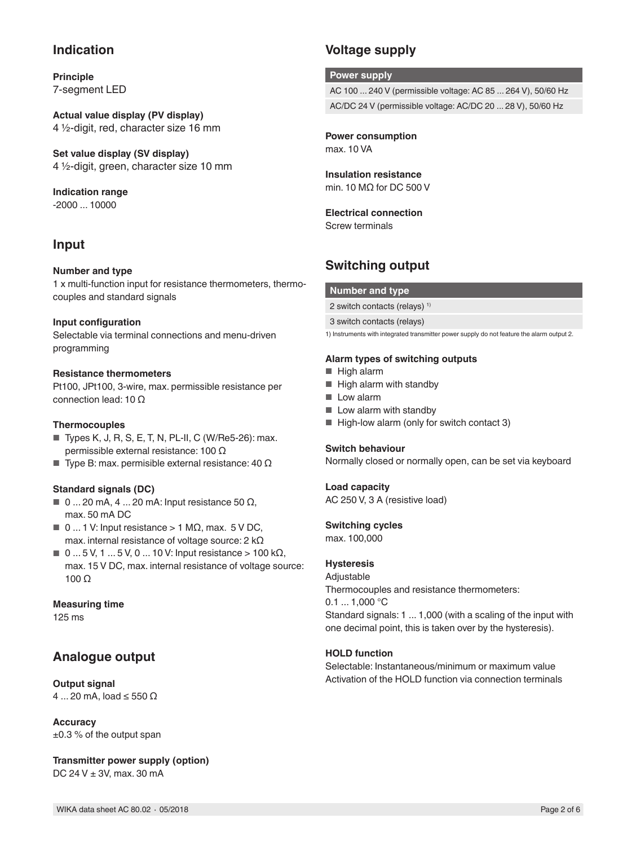### **Indication**

**Principle** 7-segment LED

**Actual value display (PV display)** 4 ½-digit, red, character size 16 mm

**Set value display (SV display)** 4 ½-digit, green, character size 10 mm

**Indication range** -2000 ... 10000

### **Input**

#### **Number and type**

1 x multi-function input for resistance thermometers, thermocouples and standard signals

#### **Input configuration**

Selectable via terminal connections and menu-driven programming

#### **Resistance thermometers**

Pt100, JPt100, 3-wire, max. permissible resistance per connection lead: 10 Ω

#### **Thermocouples**

- Types K, J, R, S, E, T, N, PL-II, C (W/Re5-26): max. permissible external resistance: 100 Ω
- Type B: max. permisible external resistance: 40  $Ω$

#### **Standard signals (DC)**

- $\blacksquare$  0 ... 20 mA, 4 ... 20 mA: Input resistance 50  $\Omega$ , max. 50 mA DC
- $\blacksquare$  0 ... 1 V: Input resistance > 1 M $\Omega$ , max. 5 V DC, max. internal resistance of voltage source: 2 kΩ
- $0...5V, 1...5V, 0...10V: Input resistance > 100 kΩ,$ max. 15 V DC, max. internal resistance of voltage source: 100 Ω

#### **Measuring time**

125 ms

### **Analogue output**

#### **Output signal**

4 ... 20 mA, load ≤ 550 Ω

#### **Accuracy**

 $\pm 0.3$  % of the output span

**Transmitter power supply (option)** DC 24 V ± 3V, max. 30 mA

WIKA data sheet AC 80.02 ∙ 05/2018 Page 2 of 6

### **Voltage supply**

#### **Power supply**

AC 100 ... 240 V (permissible voltage: AC 85 ... 264 V), 50/60 Hz

AC/DC 24 V (permissible voltage: AC/DC 20 ... 28 V), 50/60 Hz

**Power consumption** max. 10 VA

#### **Insulation resistance** min. 10 MΩ for DC 500 V

### **Electrical connection**

Screw terminals

### **Switching output**

#### **Number and type**

2 switch contacts (relays) 1)

3 switch contacts (relays)

1) Instruments with integrated transmitter power supply do not feature the alarm output 2.

#### **Alarm types of switching outputs**

- High alarm
- High alarm with standby
- Low alarm
- Low alarm with standby
- High-low alarm (only for switch contact 3)

#### **Switch behaviour**

Normally closed or normally open, can be set via keyboard

#### **Load capacity**

AC 250 V, 3 A (resistive load)

#### **Switching cycles**

max. 100,000

#### **Hysteresis**

Adjustable Thermocouples and resistance thermometers:  $0.1$  ... 1,000 °C Standard signals: 1 ... 1,000 (with a scaling of the input with one decimal point, this is taken over by the hysteresis).

#### **HOLD function**

Selectable: Instantaneous/minimum or maximum value Activation of the HOLD function via connection terminals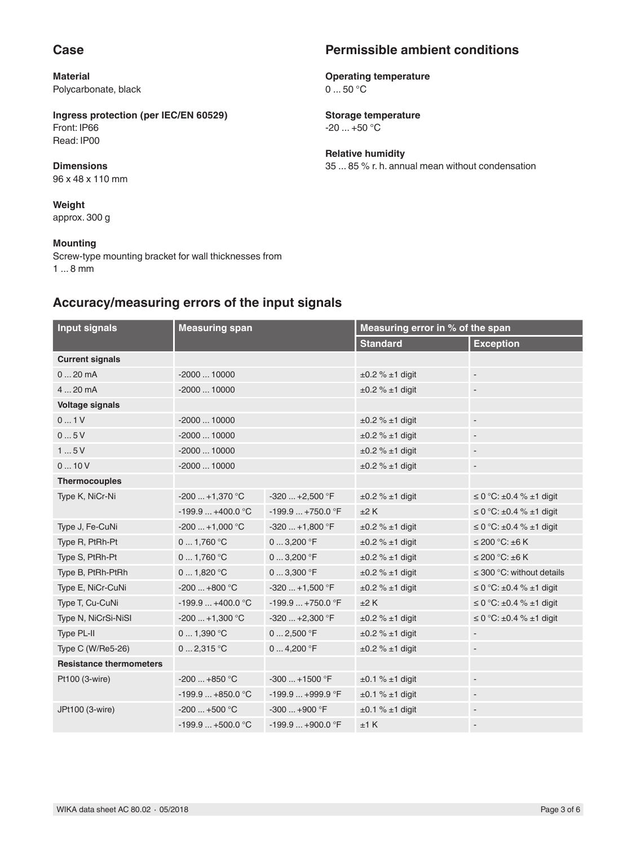### **Case**

**Material** Polycarbonate, black

#### **Ingress protection (per IEC/EN 60529)** Front: IP66 Read: IP00

**Dimensions** 96 x 48 x 110 mm

**Weight** approx. 300 g

#### **Mounting**

Screw-type mounting bracket for wall thicknesses from 1 ... 8 mm

# **Permissible ambient conditions**

**Operating temperature**  $0...50 °C$ 

**Storage temperature** -20 ... +50 °C

**Relative humidity** 35 ... 85 % r. h. annual mean without condensation

### **Accuracy/measuring errors of the input signals**

| <b>Input signals</b>           | <b>Measuring span</b> |                   | Measuring error in % of the span |                                        |
|--------------------------------|-----------------------|-------------------|----------------------------------|----------------------------------------|
|                                |                       |                   | <b>Standard</b>                  | <b>Exception</b>                       |
| <b>Current signals</b>         |                       |                   |                                  |                                        |
| 020mA                          | $-200010000$          |                   | $\pm 0.2$ % $\pm 1$ digit        |                                        |
| 4  20 mA                       | $-200010000$          |                   | $\pm 0.2$ % $\pm 1$ digit        | $\blacksquare$                         |
| <b>Voltage signals</b>         |                       |                   |                                  |                                        |
| 01V                            | $-200010000$          |                   | $\pm 0.2$ % $\pm 1$ digit        | $\overline{\phantom{a}}$               |
| 05V                            | $-200010000$          |                   | $\pm 0.2$ % $\pm 1$ digit        |                                        |
| 15V                            | $-200010000$          |                   | $\pm 0.2$ % $\pm 1$ digit        |                                        |
| 010V                           | $-200010000$          |                   | $\pm 0.2$ % $\pm 1$ digit        | $\overline{\phantom{a}}$               |
| <b>Thermocouples</b>           |                       |                   |                                  |                                        |
| Type K, NiCr-Ni                | $-200+1,370$ °C       | $-320+2,500$ °F   | $\pm 0.2$ % $\pm 1$ digit        | $\leq$ 0 °C: $\pm$ 0.4 % $\pm$ 1 digit |
|                                | $-199.9+400.0 °C$     | $-199.9+750.0$ °F | ±2K                              | $\leq$ 0 °C: $\pm$ 0.4 % $\pm$ 1 digit |
| Type J, Fe-CuNi                | $-200+1,000$ °C       | $-320+1,800$ °F   | $\pm 0.2$ % $\pm 1$ digit        | $\leq$ 0 °C: ±0.4 % ±1 digit           |
| Type R, PtRh-Pt                | 01,760 °C             | $03,200$ °F       | $\pm 0.2$ % $\pm 1$ digit        | $\leq$ 200 °C: $\pm$ 6 K               |
| Type S, PtRh-Pt                | 01,760 °C             | $03,200$ °F       | $\pm 0.2$ % $\pm 1$ digit        | $\leq$ 200 °C: $\pm$ 6 K               |
| Type B, PtRh-PtRh              | 01,820 °C             | $03,300$ °F       | $\pm 0.2$ % $\pm 1$ digit        | $\leq$ 300 °C: without details         |
| Type E, NiCr-CuNi              | $-200+800$ °C         | $-320+1,500$ °F   | $\pm 0.2$ % $\pm 1$ digit        | $\leq$ 0 °C: ±0.4 % ±1 digit           |
| Type T, Cu-CuNi                | $-199.9+400.0 °C$     | $-199.9+750.0$ °F | ±2K                              | $\leq$ 0 °C: $\pm$ 0.4 % $\pm$ 1 digit |
| Type N, NiCrSi-NiSI            | $-200+1,300 °C$       | $-320+2,300$ °F   | $\pm 0.2$ % $\pm 1$ digit        | $\leq$ 0 °C: $\pm$ 0.4 % $\pm$ 1 digit |
| Type PL-II                     | 01,390 °C             | $02,500$ °F       | $\pm 0.2$ % $\pm 1$ digit        |                                        |
| Type C (W/Re5-26)              | 02,315 °C             | 04,200 °F         | $\pm 0.2$ % $\pm 1$ digit        | $\qquad \qquad \blacksquare$           |
| <b>Resistance thermometers</b> |                       |                   |                                  |                                        |
| Pt100 (3-wire)                 | $-200+850$ °C         | $-300+1500$ °F    | $\pm 0.1$ % $\pm 1$ digit        | $\overline{\phantom{a}}$               |
|                                | $-199.9+850.0$ °C     | $-199.9+999.9$ °F | $\pm 0.1$ % $\pm 1$ digit        | $\qquad \qquad \blacksquare$           |
| JPt100 (3-wire)                | $-200+500$ °C         | $-300+900$ °F     | $\pm 0.1$ % $\pm 1$ digit        |                                        |
|                                | $-199.9+500.0$ °C     | $-199.9+900.0$ °F | ±1 K                             |                                        |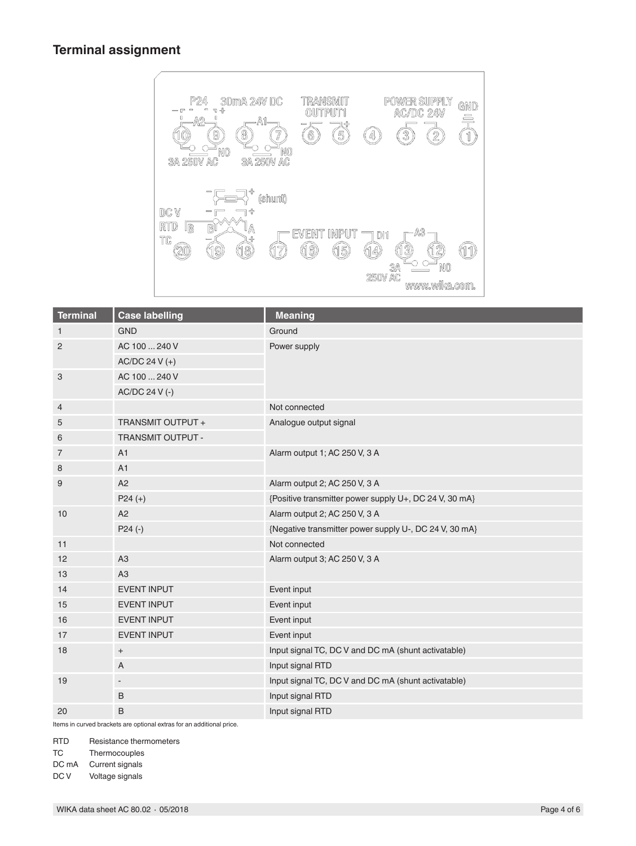### **Terminal assignment**



| <b>Terminal</b> | <b>Case labelling</b>    | <b>Meaning</b>                                         |  |
|-----------------|--------------------------|--------------------------------------------------------|--|
| $\mathbf{1}$    | <b>GND</b>               | Ground                                                 |  |
| $\overline{2}$  | AC 100  240 V            | Power supply                                           |  |
|                 | AC/DC 24 V (+)           |                                                        |  |
| 3               | AC 100  240 V            |                                                        |  |
|                 | AC/DC 24 V (-)           |                                                        |  |
| 4               |                          | Not connected                                          |  |
| 5               | TRANSMIT OUTPUT +        | Analogue output signal                                 |  |
| 6               | TRANSMIT OUTPUT -        |                                                        |  |
| $\overline{7}$  | A1                       | Alarm output 1; AC 250 V, 3 A                          |  |
| 8               | A1                       |                                                        |  |
| 9               | A2                       | Alarm output 2; AC 250 V, 3 A                          |  |
|                 | $P24 (+)$                | {Positive transmitter power supply U+, DC 24 V, 30 mA} |  |
| 10              | A2                       | Alarm output 2; AC 250 V, 3 A                          |  |
|                 | $P24 (-)$                | {Negative transmitter power supply U-, DC 24 V, 30 mA} |  |
| 11              |                          | Not connected                                          |  |
| 12              | A <sub>3</sub>           | Alarm output 3; AC 250 V, 3 A                          |  |
| 13              | A3                       |                                                        |  |
| 14              | <b>EVENT INPUT</b>       | Event input                                            |  |
| 15              | <b>EVENT INPUT</b>       | Event input                                            |  |
| 16              | <b>EVENT INPUT</b>       | Event input                                            |  |
| 17              | EVENT INPUT              | Event input                                            |  |
| 18              | $\overline{+}$           | Input signal TC, DC V and DC mA (shunt activatable)    |  |
|                 | A                        | Input signal RTD                                       |  |
| 19              | $\overline{\phantom{a}}$ | Input signal TC, DC V and DC mA (shunt activatable)    |  |
|                 | B                        | Input signal RTD                                       |  |
| 20              | B                        | Input signal RTD                                       |  |

Items in curved brackets are optional extras for an additional price.

RTD Resistance thermometers

- TC Thermocouples
- 

DC mA Current signals<br>DC V Voltage signals Voltage signals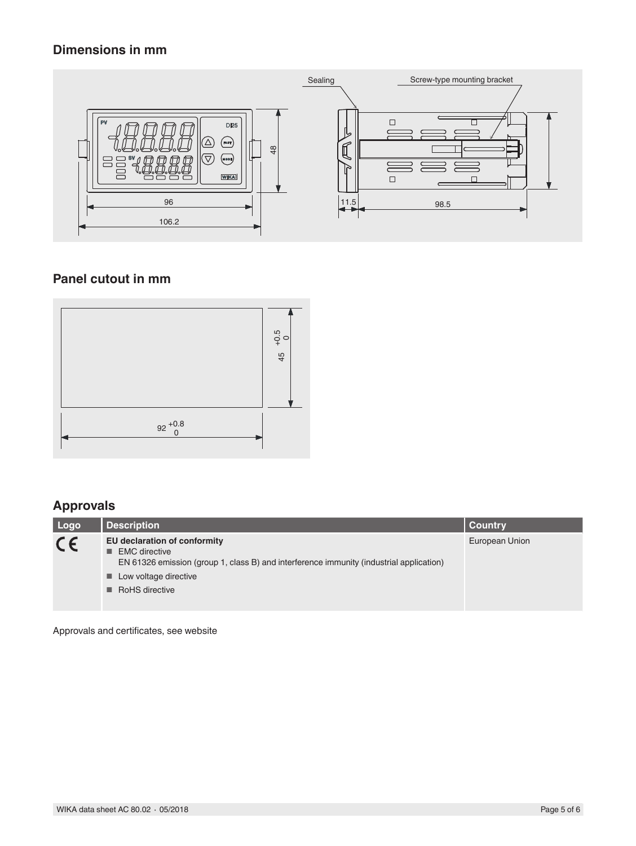### **Dimensions in mm**



### **Panel cutout in mm**



### **Approvals**

| Logo    | <b>Description</b>                                                                                                                                                                                     | Country        |
|---------|--------------------------------------------------------------------------------------------------------------------------------------------------------------------------------------------------------|----------------|
| $C \in$ | EU declaration of conformity<br>$\blacksquare$ EMC directive<br>EN 61326 emission (group 1, class B) and interference immunity (industrial application)<br>■ Low voltage directive<br>■ RoHS directive | European Union |

Approvals and certificates, see website